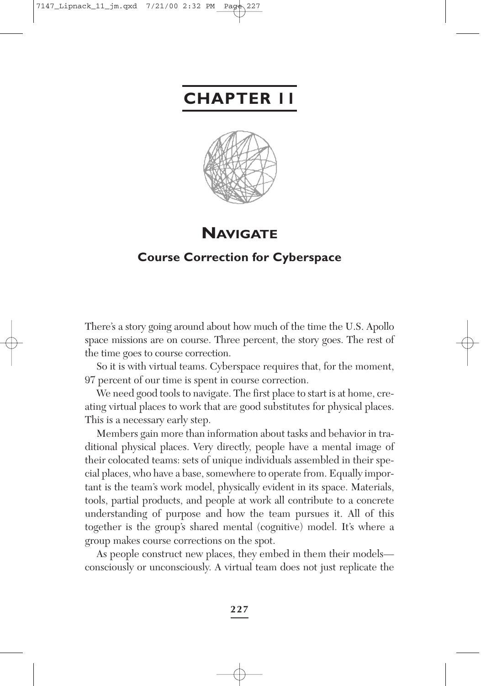# **CHAPTER 11**



# **NAVIGATE**

# **Course Correction for Cyberspace**

There's a story going around about how much of the time the U.S. Apollo space missions are on course. Three percent, the story goes. The rest of the time goes to course correction.

So it is with virtual teams. Cyberspace requires that, for the moment, 97 percent of our time is spent in course correction.

We need good tools to navigate. The first place to start is at home, creating virtual places to work that are good substitutes for physical places. This is a necessary early step.

Members gain more than information about tasks and behavior in traditional physical places. Very directly, people have a mental image of their colocated teams: sets of unique individuals assembled in their special places, who have a base, somewhere to operate from. Equally important is the team's work model, physically evident in its space. Materials, tools, partial products, and people at work all contribute to a concrete understanding of purpose and how the team pursues it. All of this together is the group's shared mental (cognitive) model. It's where a group makes course corrections on the spot.

As people construct new places, they embed in them their models consciously or unconsciously. A virtual team does not just replicate the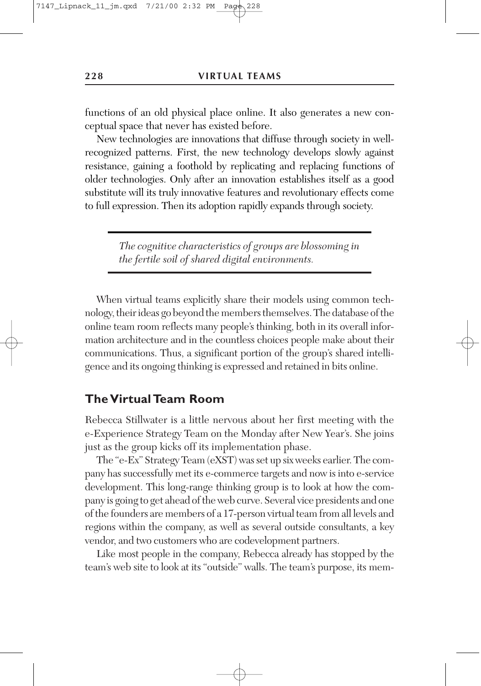functions of an old physical place online. It also generates a new conceptual space that never has existed before.

New technologies are innovations that diffuse through society in wellrecognized patterns. First, the new technology develops slowly against resistance, gaining a foothold by replicating and replacing functions of older technologies. Only after an innovation establishes itself as a good substitute will its truly innovative features and revolutionary effects come to full expression. Then its adoption rapidly expands through society.

> *The cognitive characteristics of groups are blossoming in the fertile soil of shared digital environments.*

When virtual teams explicitly share their models using common technology, their ideas go beyond the members themselves. The database of the online team room reflects many people's thinking, both in its overall information architecture and in the countless choices people make about their communications. Thus, a significant portion of the group's shared intelligence and its ongoing thinking is expressed and retained in bits online.

## **The Virtual Team Room**

Rebecca Stillwater is a little nervous about her first meeting with the e-Experience Strategy Team on the Monday after New Year's. She joins just as the group kicks off its implementation phase.

The "e-Ex" Strategy Team (eXST) was set up six weeks earlier. The company has successfully met its e-commerce targets and now is into e-service development. This long-range thinking group is to look at how the company is going to get ahead of the web curve. Several vice presidents and one of the founders are members of a 17-person virtual team from all levels and regions within the company, as well as several outside consultants, a key vendor, and two customers who are codevelopment partners.

Like most people in the company, Rebecca already has stopped by the team's web site to look at its "outside" walls. The team's purpose, its mem-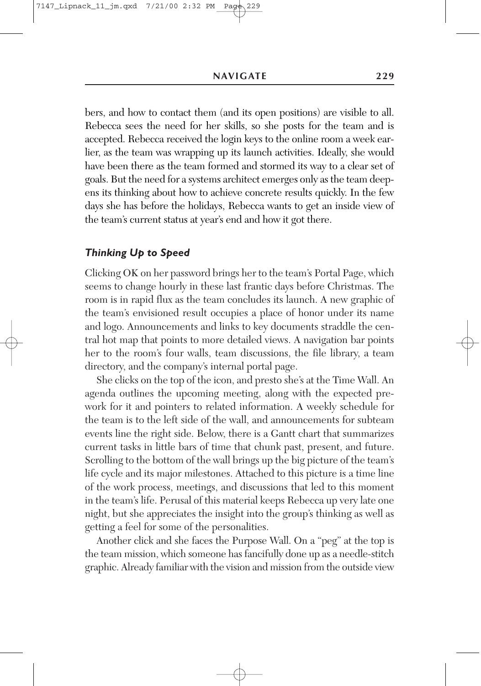bers, and how to contact them (and its open positions) are visible to all. Rebecca sees the need for her skills, so she posts for the team and is accepted. Rebecca received the login keys to the online room a week earlier, as the team was wrapping up its launch activities. Ideally, she would have been there as the team formed and stormed its way to a clear set of goals. But the need for a systems architect emerges only as the team deepens its thinking about how to achieve concrete results quickly. In the few days she has before the holidays, Rebecca wants to get an inside view of the team's current status at year's end and how it got there.

#### *Thinking Up to Speed*

Clicking OK on her password brings her to the team's Portal Page, which seems to change hourly in these last frantic days before Christmas. The room is in rapid flux as the team concludes its launch. A new graphic of the team's envisioned result occupies a place of honor under its name and logo. Announcements and links to key documents straddle the central hot map that points to more detailed views. A navigation bar points her to the room's four walls, team discussions, the file library, a team directory, and the company's internal portal page.

She clicks on the top of the icon, and presto she's at the Time Wall. An agenda outlines the upcoming meeting, along with the expected prework for it and pointers to related information. A weekly schedule for the team is to the left side of the wall, and announcements for subteam events line the right side. Below, there is a Gantt chart that summarizes current tasks in little bars of time that chunk past, present, and future. Scrolling to the bottom of the wall brings up the big picture of the team's life cycle and its major milestones. Attached to this picture is a time line of the work process, meetings, and discussions that led to this moment in the team's life. Perusal of this material keeps Rebecca up very late one night, but she appreciates the insight into the group's thinking as well as getting a feel for some of the personalities.

Another click and she faces the Purpose Wall. On a "peg" at the top is the team mission, which someone has fancifully done up as a needle-stitch graphic. Already familiar with the vision and mission from the outside view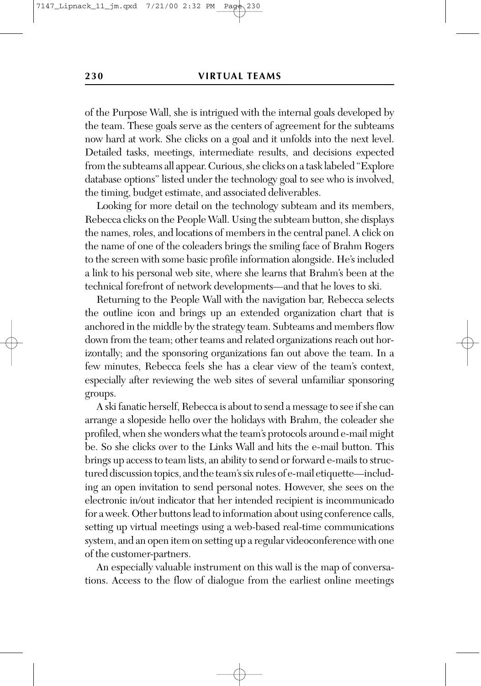of the Purpose Wall, she is intrigued with the internal goals developed by the team. These goals serve as the centers of agreement for the subteams now hard at work. She clicks on a goal and it unfolds into the next level. Detailed tasks, meetings, intermediate results, and decisions expected from the subteams all appear. Curious, she clicks on a task labeled "Explore database options" listed under the technology goal to see who is involved, the timing, budget estimate, and associated deliverables.

Looking for more detail on the technology subteam and its members, Rebecca clicks on the People Wall. Using the subteam button, she displays the names, roles, and locations of members in the central panel. A click on the name of one of the coleaders brings the smiling face of Brahm Rogers to the screen with some basic profile information alongside. He's included a link to his personal web site, where she learns that Brahm's been at the technical forefront of network developments—and that he loves to ski.

Returning to the People Wall with the navigation bar, Rebecca selects the outline icon and brings up an extended organization chart that is anchored in the middle by the strategy team. Subteams and members flow down from the team; other teams and related organizations reach out horizontally; and the sponsoring organizations fan out above the team. In a few minutes, Rebecca feels she has a clear view of the team's context, especially after reviewing the web sites of several unfamiliar sponsoring groups.

A ski fanatic herself, Rebecca is about to send a message to see if she can arrange a slopeside hello over the holidays with Brahm, the coleader she profiled, when she wonders what the team's protocols around e-mail might be. So she clicks over to the Links Wall and hits the e-mail button. This brings up access to team lists, an ability to send or forward e-mails to structured discussion topics, and the team's six rules of e-mail etiquette—including an open invitation to send personal notes. However, she sees on the electronic in/out indicator that her intended recipient is incommunicado for a week. Other buttons lead to information about using conference calls, setting up virtual meetings using a web-based real-time communications system, and an open item on setting up a regular videoconference with one of the customer-partners.

An especially valuable instrument on this wall is the map of conversations. Access to the flow of dialogue from the earliest online meetings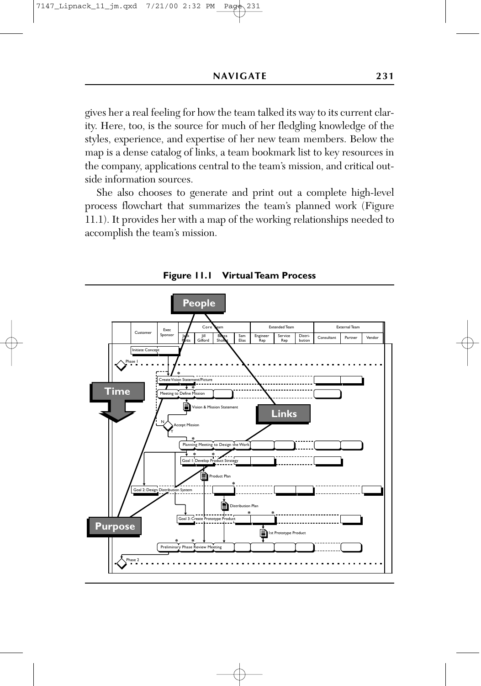gives her a real feeling for how the team talked its way to its current clarity. Here, too, is the source for much of her fledgling knowledge of the styles, experience, and expertise of her new team members. Below the map is a dense catalog of links, a team bookmark list to key resources in the company, applications central to the team's mission, and critical outside information sources.

She also chooses to generate and print out a complete high-level process flowchart that summarizes the team's planned work (Figure 11.1). It provides her with a map of the working relationships needed to accomplish the team's mission.



**Figure 11.1 Virtual Team Process**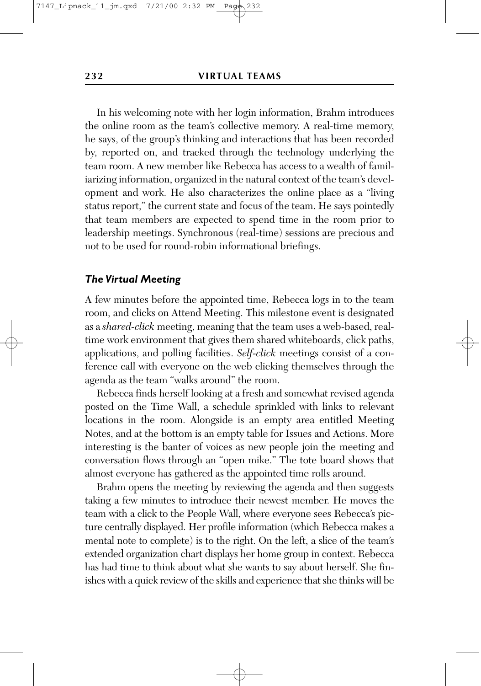In his welcoming note with her login information, Brahm introduces the online room as the team's collective memory. A real-time memory, he says, of the group's thinking and interactions that has been recorded by, reported on, and tracked through the technology underlying the team room. A new member like Rebecca has access to a wealth of familiarizing information, organized in the natural context of the team's development and work. He also characterizes the online place as a "living status report," the current state and focus of the team. He says pointedly that team members are expected to spend time in the room prior to leadership meetings. Synchronous (real-time) sessions are precious and not to be used for round-robin informational briefings.

#### *The Virtual Meeting*

A few minutes before the appointed time, Rebecca logs in to the team room, and clicks on Attend Meeting. This milestone event is designated as a *shared-click* meeting, meaning that the team uses a web-based, realtime work environment that gives them shared whiteboards, click paths, applications, and polling facilities. *Self-click* meetings consist of a conference call with everyone on the web clicking themselves through the agenda as the team "walks around" the room.

Rebecca finds herself looking at a fresh and somewhat revised agenda posted on the Time Wall, a schedule sprinkled with links to relevant locations in the room. Alongside is an empty area entitled Meeting Notes, and at the bottom is an empty table for Issues and Actions. More interesting is the banter of voices as new people join the meeting and conversation flows through an "open mike." The tote board shows that almost everyone has gathered as the appointed time rolls around.

Brahm opens the meeting by reviewing the agenda and then suggests taking a few minutes to introduce their newest member. He moves the team with a click to the People Wall, where everyone sees Rebecca's picture centrally displayed. Her profile information (which Rebecca makes a mental note to complete) is to the right. On the left, a slice of the team's extended organization chart displays her home group in context. Rebecca has had time to think about what she wants to say about herself. She finishes with a quick review of the skills and experience that she thinks will be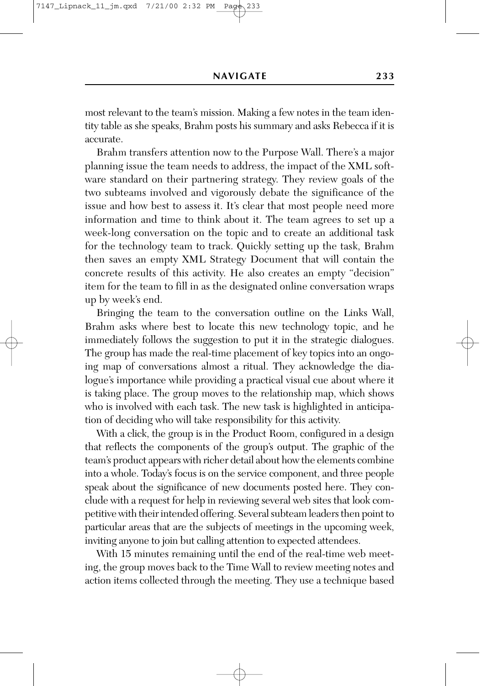most relevant to the team's mission. Making a few notes in the team identity table as she speaks, Brahm posts his summary and asks Rebecca if it is accurate.

Brahm transfers attention now to the Purpose Wall. There's a major planning issue the team needs to address, the impact of the XML software standard on their partnering strategy. They review goals of the two subteams involved and vigorously debate the significance of the issue and how best to assess it. It's clear that most people need more information and time to think about it. The team agrees to set up a week-long conversation on the topic and to create an additional task for the technology team to track. Quickly setting up the task, Brahm then saves an empty XML Strategy Document that will contain the concrete results of this activity. He also creates an empty "decision" item for the team to fill in as the designated online conversation wraps up by week's end.

Bringing the team to the conversation outline on the Links Wall, Brahm asks where best to locate this new technology topic, and he immediately follows the suggestion to put it in the strategic dialogues. The group has made the real-time placement of key topics into an ongoing map of conversations almost a ritual. They acknowledge the dialogue's importance while providing a practical visual cue about where it is taking place. The group moves to the relationship map, which shows who is involved with each task. The new task is highlighted in anticipation of deciding who will take responsibility for this activity.

With a click, the group is in the Product Room, configured in a design that reflects the components of the group's output. The graphic of the team's product appears with richer detail about how the elements combine into a whole. Today's focus is on the service component, and three people speak about the significance of new documents posted here. They conclude with a request for help in reviewing several web sites that look competitive with their intended offering. Several subteam leaders then point to particular areas that are the subjects of meetings in the upcoming week, inviting anyone to join but calling attention to expected attendees.

With 15 minutes remaining until the end of the real-time web meeting, the group moves back to the Time Wall to review meeting notes and action items collected through the meeting. They use a technique based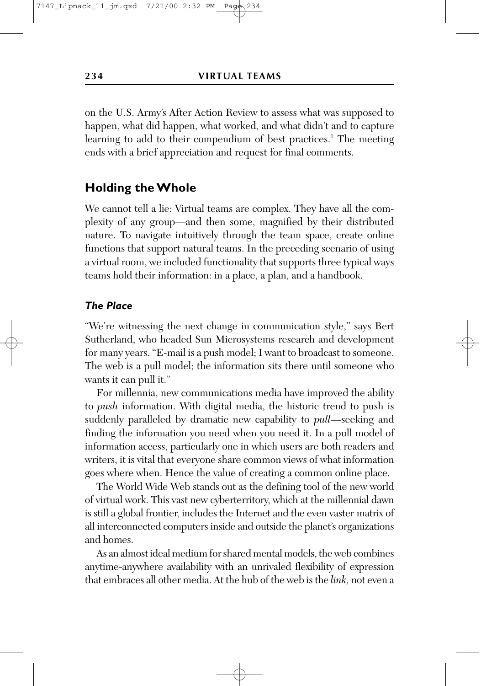on the U.S. Army's After Action Review to assess what was supposed to happen, what did happen, what worked, and what didn't and to capture learning to add to their compendium of best practices.<sup>1</sup> The meeting ends with a brief appreciation and request for final comments.

### **Holding the Whole**

We cannot tell a lie: Virtual teams are complex. They have all the complexity of any group—and then some, magnified by their distributed nature. To navigate intuitively through the team space, create online functions that support natural teams. In the preceding scenario of using a virtual room, we included functionality that supports three typical ways teams hold their information: in a place, a plan, and a handbook.

#### *The Place*

"We're witnessing the next change in communication style," says Bert Sutherland, who headed Sun Microsystems research and development for many years. "E-mail is a push model; I want to broadcast to someone. The web is a pull model; the information sits there until someone who wants it can pull it."

For millennia, new communications media have improved the ability to *push* information. With digital media, the historic trend to push is suddenly paralleled by dramatic new capability to *pull—*seeking and finding the information you need when you need it. In a pull model of information access, particularly one in which users are both readers and writers, it is vital that everyone share common views of what information goes where when. Hence the value of creating a common online place.

The World Wide Web stands out as the defining tool of the new world of virtual work. This vast new cyberterritory, which at the millennial dawn is still a global frontier, includes the Internet and the even vaster matrix of all interconnected computers inside and outside the planet's organizations and homes.

As an almost ideal medium for shared mental models, the web combines anytime-anywhere availability with an unrivaled flexibility of expression that embraces all other media. At the hub of the web is the *link,* not even a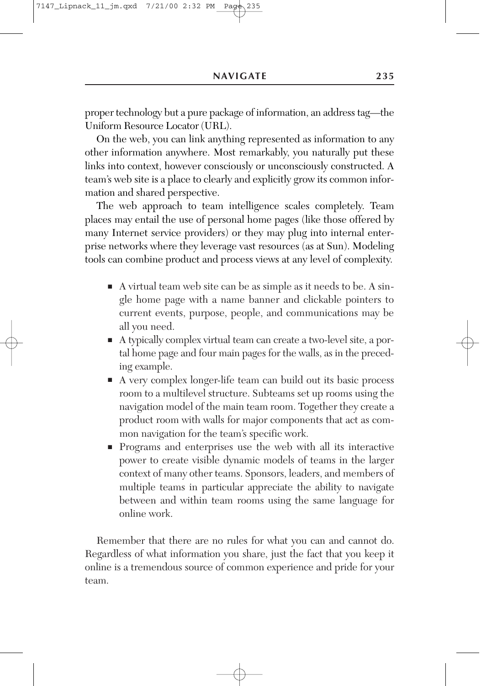proper technology but a pure package of information, an address tag—the Uniform Resource Locator (URL).

On the web, you can link anything represented as information to any other information anywhere. Most remarkably, you naturally put these links into context, however consciously or unconsciously constructed. A team's web site is a place to clearly and explicitly grow its common information and shared perspective.

The web approach to team intelligence scales completely. Team places may entail the use of personal home pages (like those offered by many Internet service providers) or they may plug into internal enterprise networks where they leverage vast resources (as at Sun). Modeling tools can combine product and process views at any level of complexity.

- A virtual team web site can be as simple as it needs to be. A single home page with a name banner and clickable pointers to current events, purpose, people, and communications may be all you need.
- A typically complex virtual team can create a two-level site, a portal home page and four main pages for the walls, as in the preceding example.
- A very complex longer-life team can build out its basic process room to a multilevel structure. Subteams set up rooms using the navigation model of the main team room. Together they create a product room with walls for major components that act as common navigation for the team's specific work.
- Programs and enterprises use the web with all its interactive power to create visible dynamic models of teams in the larger context of many other teams. Sponsors, leaders, and members of multiple teams in particular appreciate the ability to navigate between and within team rooms using the same language for online work.

Remember that there are no rules for what you can and cannot do. Regardless of what information you share, just the fact that you keep it online is a tremendous source of common experience and pride for your team.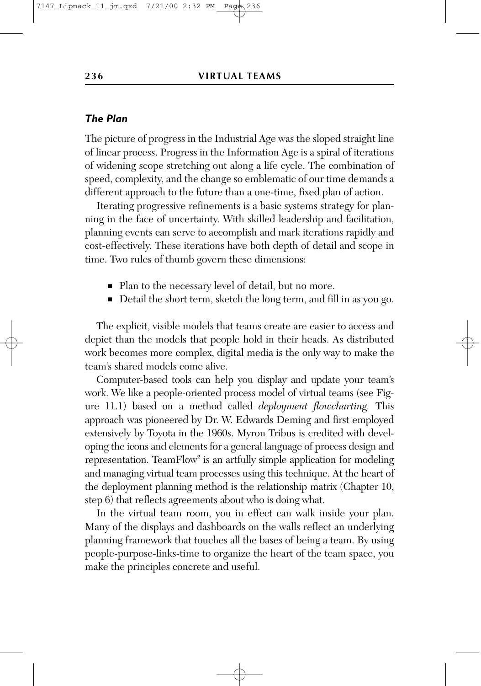#### *The Plan*

The picture of progress in the Industrial Age was the sloped straight line of linear process. Progress in the Information Age is a spiral of iterations of widening scope stretching out along a life cycle. The combination of speed, complexity, and the change so emblematic of our time demands a different approach to the future than a one-time, fixed plan of action.

Iterating progressive refinements is a basic systems strategy for planning in the face of uncertainty. With skilled leadership and facilitation, planning events can serve to accomplish and mark iterations rapidly and cost-effectively. These iterations have both depth of detail and scope in time. Two rules of thumb govern these dimensions:

- Plan to the necessary level of detail, but no more.
- Detail the short term, sketch the long term, and fill in as you go.

The explicit, visible models that teams create are easier to access and depict than the models that people hold in their heads. As distributed work becomes more complex, digital media is the only way to make the team's shared models come alive.

Computer-based tools can help you display and update your team's work. We like a people-oriented process model of virtual teams (see Figure 11.1) based on a method called *deployment flowcharting.* This approach was pioneered by Dr. W. Edwards Deming and first employed extensively by Toyota in the 1960s. Myron Tribus is credited with developing the icons and elements for a general language of process design and representation. TeamFlow<sup>2</sup> is an artfully simple application for modeling and managing virtual team processes using this technique. At the heart of the deployment planning method is the relationship matrix (Chapter 10, step 6) that reflects agreements about who is doing what.

In the virtual team room, you in effect can walk inside your plan. Many of the displays and dashboards on the walls reflect an underlying planning framework that touches all the bases of being a team. By using people-purpose-links-time to organize the heart of the team space, you make the principles concrete and useful.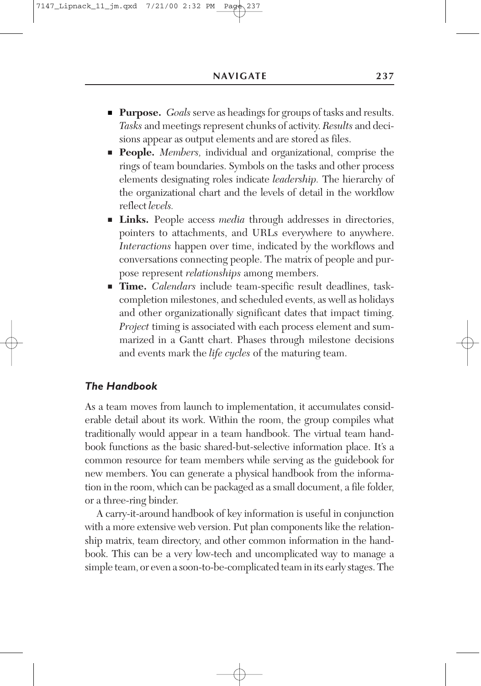- **Purpose.** *Goals* serve as headings for groups of tasks and results. *Tasks* and meetings represent chunks of activity. *Results* and decisions appear as output elements and are stored as files.
- **People.** *Members*, individual and organizational, comprise the rings of team boundaries. Symbols on the tasks and other process elements designating roles indicate *leadership.* The hierarchy of the organizational chart and the levels of detail in the workflow reflect *levels.*
- **Links.** People access *media* through addresses in directories, pointers to attachments, and URLs everywhere to anywhere. *Interactions* happen over time, indicated by the workflows and conversations connecting people. The matrix of people and purpose represent *relationships* among members.
- **Time.** *Calendars* include team-specific result deadlines, taskcompletion milestones, and scheduled events, as well as holidays and other organizationally significant dates that impact timing. *Project* timing is associated with each process element and summarized in a Gantt chart. Phases through milestone decisions and events mark the *life cycles* of the maturing team.

#### *The Handbook*

As a team moves from launch to implementation, it accumulates considerable detail about its work. Within the room, the group compiles what traditionally would appear in a team handbook. The virtual team handbook functions as the basic shared-but-selective information place. It's a common resource for team members while serving as the guidebook for new members. You can generate a physical handbook from the information in the room, which can be packaged as a small document, a file folder, or a three-ring binder.

A carry-it-around handbook of key information is useful in conjunction with a more extensive web version. Put plan components like the relationship matrix, team directory, and other common information in the handbook. This can be a very low-tech and uncomplicated way to manage a simple team, or even a soon-to-be-complicated team in its early stages. The